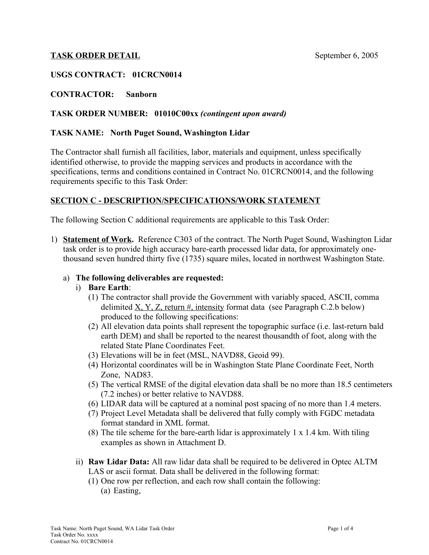## **TASK ORDER DETAIL** September 6, 2005

## **USGS CONTRACT: 01CRCN0014**

## **CONTRACTOR: Sanborn**

## **TASK ORDER NUMBER: 01010C00xx** *(contingent upon award)*

### **TASK NAME: North Puget Sound, Washington Lidar**

The Contractor shall furnish all facilities, labor, materials and equipment, unless specifically identified otherwise, to provide the mapping services and products in accordance with the specifications, terms and conditions contained in Contract No. 01CRCN0014, and the following requirements specific to this Task Order:

### **SECTION C - DESCRIPTION/SPECIFICATIONS/WORK STATEMENT**

The following Section C additional requirements are applicable to this Task Order:

1) **Statement of Work.** Reference C303 of the contract. The North Puget Sound, Washington Lidar task order is to provide high accuracy bare-earth processed lidar data, for approximately onethousand seven hundred thirty five (1735) square miles, located in northwest Washington State.

#### a) **The following deliverables are requested:**

#### i) **Bare Earth**:

- (1) The contractor shall provide the Government with variably spaced, ASCII, comma delimited  $X, Y, Z$ , return #, intensity format data (see Paragraph C.2.b below) produced to the following specifications:
- (2) All elevation data points shall represent the topographic surface (i.e. last-return bald earth DEM) and shall be reported to the nearest thousandth of foot, along with the related State Plane Coordinates Feet.
- (3) Elevations will be in feet (MSL, NAVD88, Geoid 99).
- (4) Horizontal coordinates will be in Washington State Plane Coordinate Feet, North Zone, NAD83.
- (5) The vertical RMSE of the digital elevation data shall be no more than 18.5 centimeters (7.2 inches) or better relative to NAVD88.
- (6) LIDAR data will be captured at a nominal post spacing of no more than 1.4 meters.
- (7) Project Level Metadata shall be delivered that fully comply with FGDC metadata format standard in XML format.
- (8) The tile scheme for the bare-earth lidar is approximately  $1 \times 1.4$  km. With tiling examples as shown in Attachment D.
- ii) **Raw Lidar Data:** All raw lidar data shall be required to be delivered in Optec ALTM LAS or ascii format. Data shall be delivered in the following format:
	- (1) One row per reflection, and each row shall contain the following: (a) Easting,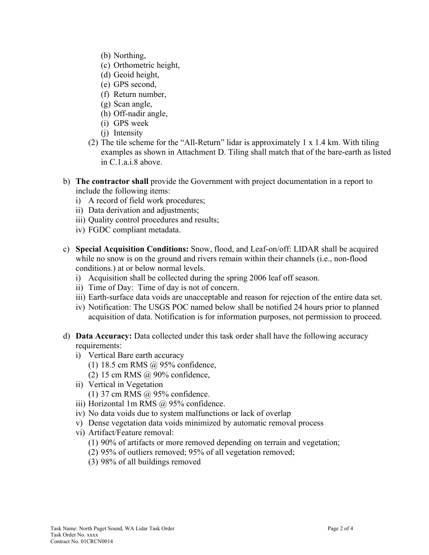- (b) Northing,
- (c) Orthometric height,
- (d) Geoid height,
- (e) GPS second,
- (f) Return number,
- (g) Scan angle,
- (h) Off-nadir angle,
- (i) GPS week
- (j) Intensity
- (2) The tile scheme for the "All-Return" lidar is approximately  $1 \times 1.4$  km. With tiling examples as shown in Attachment D. Tiling shall match that of the bare-earth as listed in C.1.a.i.8 above.
- b) **The contractor shall** provide the Government with project documentation in a report to include the following items:
	- i) A record of field work procedures;
	- ii) Data derivation and adjustments;
	- iii) Quality control procedures and results;
	- iv) FGDC compliant metadata.
- c) **Special Acquisition Conditions:** Snow, flood, and Leaf-on/off: LIDAR shall be acquired while no snow is on the ground and rivers remain within their channels (*i.e.*, non-flood conditions.) at or below normal levels.
	- i) Acquisition shall be collected during the spring 2006 leaf off season.
	- ii) Time of Day: Time of day is not of concern.
	- iii) Earth-surface data voids are unacceptable and reason for rejection of the entire data set.
	- iv) Notification: The USGS POC named below shall be notified 24 hours prior to planned acquisition of data. Notification is for information purposes, not permission to proceed.
- d) **Data Accuracy:** Data collected under this task order shall have the following accuracy requirements:
	- i) Vertical Bare earth accuracy
		- (1) 18.5 cm RMS @ 95% confidence,
		- (2) 15 cm RMS @ 90% confidence,
	- ii) Vertical in Vegetation (1) 37 cm RMS @ 95% confidence.
	- iii) Horizontal 1m RMS @ 95% confidence.
	- iv) No data voids due to system malfunctions or lack of overlap
	- v) Dense vegetation data voids minimized by automatic removal process
	- vi) Artifact/Feature removal:
		- (1) 90% of artifacts or more removed depending on terrain and vegetation;
		- (2) 95% of outliers removed; 95% of all vegetation removed;
		- (3) 98% of all buildings removed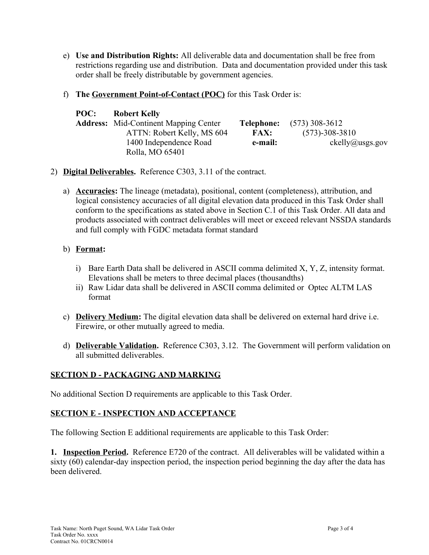- e) **Use and Distribution Rights:** All deliverable data and documentation shall be free from restrictions regarding use and distribution. Data and documentation provided under this task order shall be freely distributable by government agencies.
- f) **The Government Point-of-Contact (POC)** for this Task Order is:

| POC: | <b>Robert Kelly</b>                          |             |                      |
|------|----------------------------------------------|-------------|----------------------|
|      | <b>Address:</b> Mid-Continent Mapping Center | Telephone:  | $(573)$ 308-3612     |
|      | ATTN: Robert Kelly, MS 604                   | <b>FAX:</b> | $(573) - 308 - 3810$ |
|      | 1400 Independence Road                       | e-mail:     | ckelly@usgs.gov      |
|      | Rolla, MO 65401                              |             |                      |

- 2) **Digital Deliverables.** Reference C303, 3.11 of the contract.
	- a) **Accuracies:** The lineage (metadata), positional, content (completeness), attribution, and logical consistency accuracies of all digital elevation data produced in this Task Order shall conform to the specifications as stated above in Section C.1 of this Task Order. All data and products associated with contract deliverables will meet or exceed relevant NSSDA standards and full comply with FGDC metadata format standard

## b) **Format:**

- i) Bare Earth Data shall be delivered in ASCII comma delimited X, Y, Z, intensity format. Elevations shall be meters to three decimal places (thousandths)
- ii) Raw Lidar data shall be delivered in ASCII comma delimited or Optec ALTM LAS format
- c) **Delivery Medium:** The digital elevation data shall be delivered on external hard drive i.e. Firewire, or other mutually agreed to media.
- d) **Deliverable Validation.** Reference C303, 3.12. The Government will perform validation on all submitted deliverables.

# **SECTION D - PACKAGING AND MARKING**

No additional Section D requirements are applicable to this Task Order.

## **SECTION E - INSPECTION AND ACCEPTANCE**

The following Section E additional requirements are applicable to this Task Order:

**1. Inspection Period.** Reference E720 of the contract. All deliverables will be validated within a sixty (60) calendar-day inspection period, the inspection period beginning the day after the data has been delivered.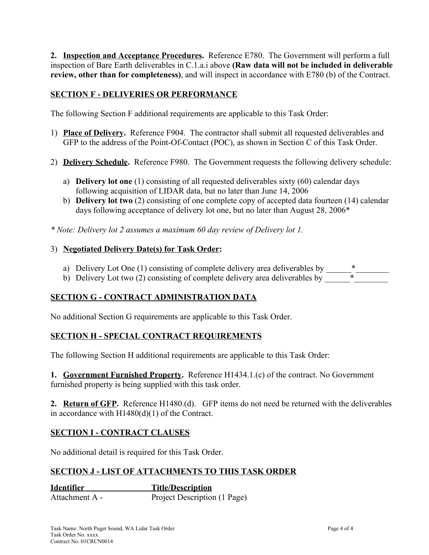**2. Inspection and Acceptance Procedures.** Reference E780. The Government will perform a full inspection of Bare Earth deliverables in C.1.a.i above **(Raw data will not be included in deliverable review, other than for completeness)**, and will inspect in accordance with E780 (b) of the Contract.

## **SECTION F - DELIVERIES OR PERFORMANCE**

The following Section F additional requirements are applicable to this Task Order:

- 1) **Place of Delivery.** Reference F904. The contractor shall submit all requested deliverables and GFP to the address of the Point-Of-Contact (POC), as shown in Section C of this Task Order.
- 2) **Delivery Schedule.** Reference F980. The Government requests the following delivery schedule:
	- a) **Delivery lot one** (1) consisting of all requested deliverables sixty (60) calendar days following acquisition of LIDAR data, but no later than June 14, 2006
	- b) **Delivery lot two** (2) consisting of one complete copy of accepted data fourteen (14) calendar days following acceptance of delivery lot one, but no later than August 28, 2006\*

*\* Note: Delivery lot 2 assumes a maximum 60 day review of Delivery lot 1.*

### 3) **Negotiated Delivery Date(s) for Task Order:**

- a) Delivery Lot One (1) consisting of complete delivery area deliverables by
- b) Delivery Lot two  $(2)$  consisting of complete delivery area deliverables by

## **SECTION G - CONTRACT ADMINISTRATION DATA**

No additional Section G requirements are applicable to this Task Order.

## **SECTION H - SPECIAL CONTRACT REQUIREMENTS**

The following Section H additional requirements are applicable to this Task Order:

**1. Government Furnished Property.** Reference H1434.1.(c) of the contract. No Government furnished property is being supplied with this task order.

**2. Return of GFP.** Reference H1480.(d). GFP items do not need be returned with the deliverables in accordance with H1480(d)(1) of the Contract.

## **SECTION I - CONTRACT CLAUSES**

No additional detail is required for this Task Order.

## **SECTION J - LIST OF ATTACHMENTS TO THIS TASK ORDER**

**Identifier** Title/Description Attachment A - Project Description (1 Page)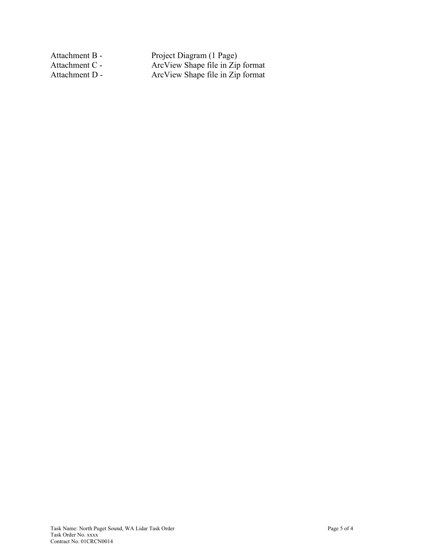Attachment B - Project Diagram (1 Page) Attachment C - ArcView Shape file in Zip format Attachment D - **ArcView Shape file in Zip format**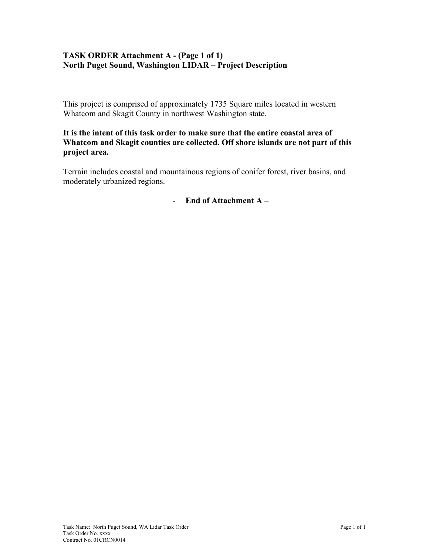## **TASK ORDER Attachment A - (Page 1 of 1) North Puget Sound, Washington LIDAR – Project Description**

This project is comprised of approximately 1735 Square miles located in western Whatcom and Skagit County in northwest Washington state.

## **It is the intent of this task order to make sure that the entire coastal area of Whatcom and Skagit counties are collected. Off shore islands are not part of this project area.**

Terrain includes coastal and mountainous regions of conifer forest, river basins, and moderately urbanized regions.

- **End of Attachment A –**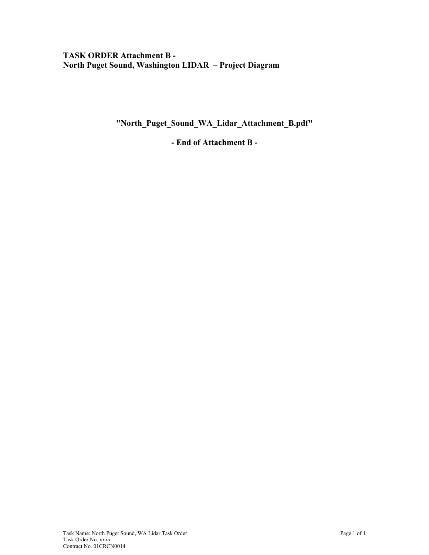## **TASK ORDER Attachment B - North Puget Sound, Washington LIDAR – Project Diagram**

**"North\_Puget\_Sound\_WA\_Lidar\_Attachment\_B.pdf"**

**- End of Attachment B -**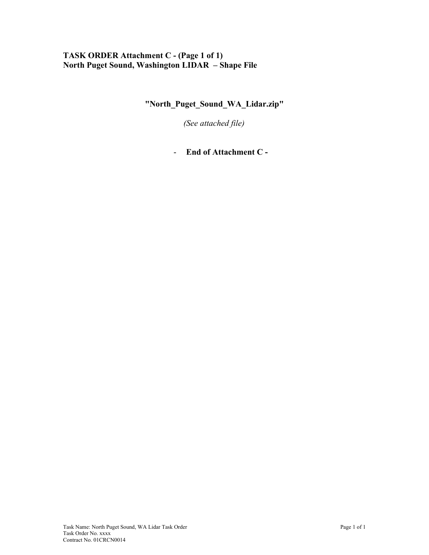## **TASK ORDER Attachment C - (Page 1 of 1) North Puget Sound, Washington LIDAR – Shape File**

**"North\_Puget\_Sound\_WA\_Lidar.zip"**

*(See attached file)*

- **End of Attachment C -**